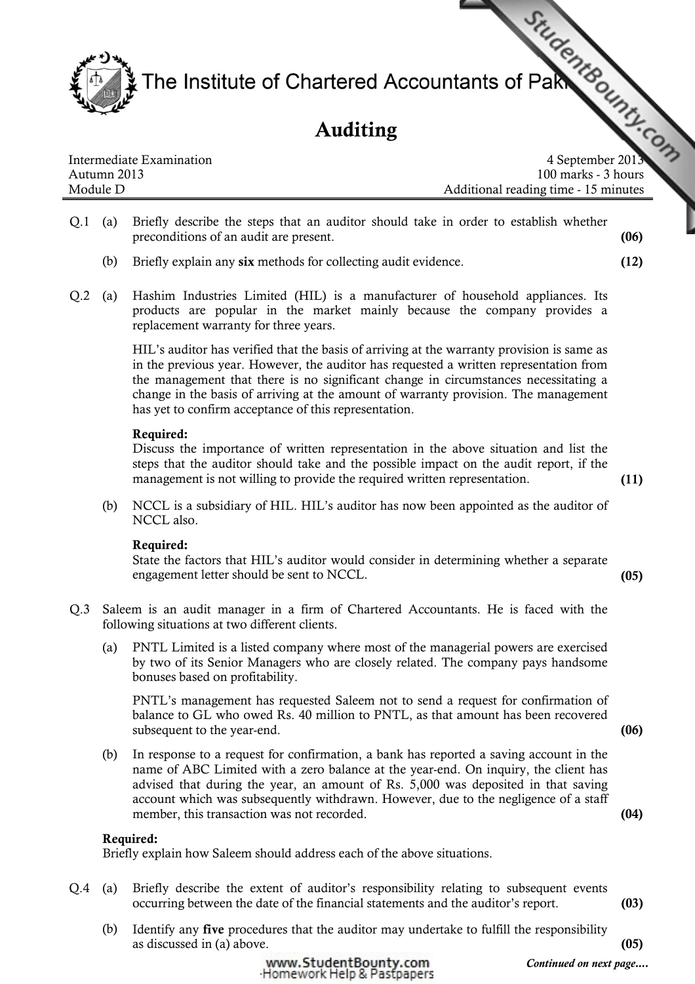The Institute of Chartered Accountants of Pake

# Auditing

Intermediate Examination and the separation of the separation of the separation of  $4$  September 2013 Autumn 2013 100 marks - 3 hours Module D Additional reading time - 15 minutes

- Q.1 (a) Briefly describe the steps that an auditor should take in order to establish whether preconditions of an audit are present. (06)
	- (b) Briefly explain any six methods for collecting audit evidence. (12)
- Q.2 (a) Hashim Industries Limited (HIL) is a manufacturer of household appliances. Its products are popular in the market mainly because the company provides a replacement warranty for three years.

HIL's auditor has verified that the basis of arriving at the warranty provision is same as in the previous year. However, the auditor has requested a written representation from the management that there is no significant change in circumstances necessitating a change in the basis of arriving at the amount of warranty provision. The management has yet to confirm acceptance of this representation.

#### Required:

Discuss the importance of written representation in the above situation and list the steps that the auditor should take and the possible impact on the audit report, if the management is not willing to provide the required written representation. (11)

(b) NCCL is a subsidiary of HIL. HIL's auditor has now been appointed as the auditor of NCCL also.

### Required:

State the factors that HIL's auditor would consider in determining whether a separate engagement letter should be sent to NCCL. (05)

- Q.3 Saleem is an audit manager in a firm of Chartered Accountants. He is faced with the following situations at two different clients.
	- (a) PNTL Limited is a listed company where most of the managerial powers are exercised by two of its Senior Managers who are closely related. The company pays handsome bonuses based on profitability.

PNTL's management has requested Saleem not to send a request for confirmation of balance to GL who owed Rs. 40 million to PNTL, as that amount has been recovered subsequent to the year-end. (06)

(b) In response to a request for confirmation, a bank has reported a saving account in the name of ABC Limited with a zero balance at the year-end. On inquiry, the client has advised that during the year, an amount of Rs. 5,000 was deposited in that saving account which was subsequently withdrawn. However, due to the negligence of a staff member, this transaction was not recorded. (04)

### Required:

Briefly explain how Saleem should address each of the above situations.

- Q.4 (a) Briefly describe the extent of auditor's responsibility relating to subsequent events occurring between the date of the financial statements and the auditor's report. (03)
	- (b) Identify any five procedures that the auditor may undertake to fulfill the responsibility  $\alpha$  as discussed in (a) above. (05)



Continued on next page....